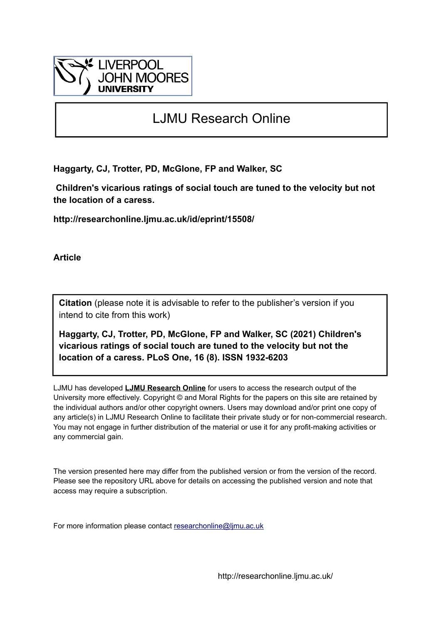

# LJMU Research Online

**Haggarty, CJ, Trotter, PD, McGlone, FP and Walker, SC**

 **Children's vicarious ratings of social touch are tuned to the velocity but not the location of a caress.**

**http://researchonline.ljmu.ac.uk/id/eprint/15508/**

**Article**

**Citation** (please note it is advisable to refer to the publisher's version if you intend to cite from this work)

**Haggarty, CJ, Trotter, PD, McGlone, FP and Walker, SC (2021) Children's vicarious ratings of social touch are tuned to the velocity but not the location of a caress. PLoS One, 16 (8). ISSN 1932-6203** 

LJMU has developed **[LJMU Research Online](http://researchonline.ljmu.ac.uk/)** for users to access the research output of the University more effectively. Copyright © and Moral Rights for the papers on this site are retained by the individual authors and/or other copyright owners. Users may download and/or print one copy of any article(s) in LJMU Research Online to facilitate their private study or for non-commercial research. You may not engage in further distribution of the material or use it for any profit-making activities or any commercial gain.

The version presented here may differ from the published version or from the version of the record. Please see the repository URL above for details on accessing the published version and note that access may require a subscription.

For more information please contact [researchonline@ljmu.ac.uk](mailto:researchonline@ljmu.ac.uk)

http://researchonline.ljmu.ac.uk/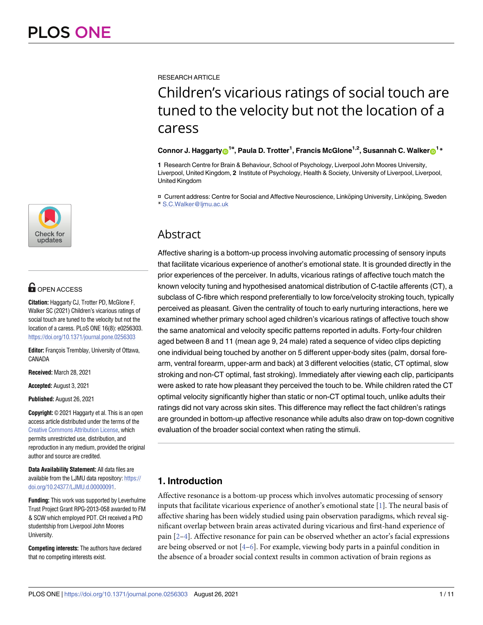

# **OPEN ACCESS**

**Citation:** Haggarty CJ, Trotter PD, McGlone F, Walker SC (2021) Children's vicarious ratings of social touch are tuned to the velocity but not the location of a caress. PLoS ONE 16(8): e0256303. <https://doi.org/10.1371/journal.pone.0256303>

**Editor:** François Tremblay, University of Ottawa, CANADA

**Received:** March 28, 2021

**Accepted:** August 3, 2021

**Published:** August 26, 2021

**Copyright:** © 2021 Haggarty et al. This is an open access article distributed under the terms of the Creative Commons [Attribution](http://creativecommons.org/licenses/by/4.0/) License, which permits unrestricted use, distribution, and reproduction in any medium, provided the original author and source are credited.

**Data Availability Statement:** All data files are available from the LJMU data repository: [https://](https://doi.org/10.24377/LJMU.d.00000091) [doi.org/10.24377/LJMU.d.00000091.](https://doi.org/10.24377/LJMU.d.00000091)

**Funding:** This work was supported by Leverhulme Trust Project Grant RPG-2013-058 awarded to FM & SCW which employed PDT. CH received a PhD studentship from Liverpool John Moores University.

**Competing interests:** The authors have declared that no competing interests exist.

<span id="page-1-0"></span>RESEARCH ARTICLE

# Children's vicarious ratings of social touch are tuned to the velocity but not the location of a caress

## $\blacksquare$ Connor J. Haggarty $\blacksquare$ <sup>1¤</sup>, Paula D. Trotter<sup>1</sup>, Francis McGlone<sup>1,2</sup>, Susannah C. Walker $\blacksquare$ <sup>1</sup>\*

**1** Research Centre for Brain & Behaviour, School of Psychology, Liverpool John Moores University, Liverpool, United Kingdom, **2** Institute of Psychology, Health & Society, University of Liverpool, Liverpool, United Kingdom

¤ Current address: Centre for Social and Affective Neuroscience, Linköping University, Linköping, Sweden \* S.C.Walker@ljmu.ac.uk

# Abstract

Affective sharing is a bottom-up process involving automatic processing of sensory inputs that facilitate vicarious experience of another's emotional state. It is grounded directly in the prior experiences of the perceiver. In adults, vicarious ratings of affective touch match the known velocity tuning and hypothesised anatomical distribution of C-tactile afferents (CT), a subclass of C-fibre which respond preferentially to low force/velocity stroking touch, typically perceived as pleasant. Given the centrality of touch to early nurturing interactions, here we examined whether primary school aged children's vicarious ratings of affective touch show the same anatomical and velocity specific patterns reported in adults. Forty-four children aged between 8 and 11 (mean age 9, 24 male) rated a sequence of video clips depicting one individual being touched by another on 5 different upper-body sites (palm, dorsal forearm, ventral forearm, upper-arm and back) at 3 different velocities (static, CT optimal, slow stroking and non-CT optimal, fast stroking). Immediately after viewing each clip, participants were asked to rate how pleasant they perceived the touch to be. While children rated the CT optimal velocity significantly higher than static or non-CT optimal touch, unlike adults their ratings did not vary across skin sites. This difference may reflect the fact children's ratings are grounded in bottom-up affective resonance while adults also draw on top-down cognitive evaluation of the broader social context when rating the stimuli.

## **1. Introduction**

Affective resonance is a bottom-up process which involves automatic processing of sensory inputs that facilitate vicarious experience of another's emotional state [\[1\]](#page-9-0). The neural basis of affective sharing has been widely studied using pain observation paradigms, which reveal significant overlap between brain areas activated during vicarious and first-hand experience of pain [\[2–4\]](#page-9-0). Affective resonance for pain can be observed whether an actor's facial expressions are being observed or not  $[4-6]$ . For example, viewing body parts in a painful condition in the absence of a broader social context results in common activation of brain regions as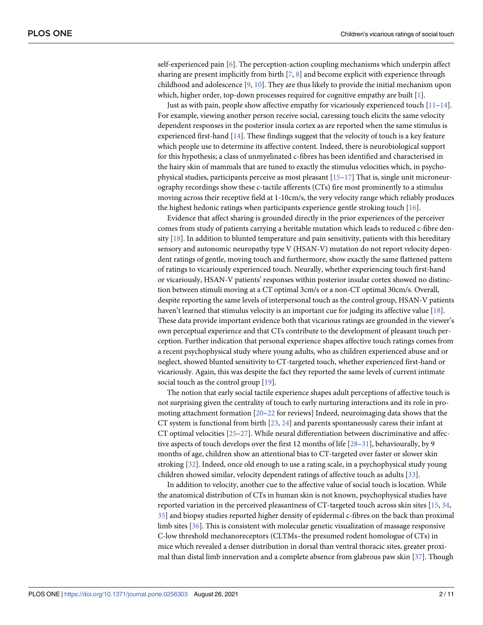<span id="page-2-0"></span>self-experienced pain [\[6](#page-9-0)]. The perception-action coupling mechanisms which underpin affect sharing are present implicitly from birth  $[7, 8]$  $[7, 8]$  $[7, 8]$  $[7, 8]$  and become explicit with experience through childhood and adolescence  $[9, 10]$  $[9, 10]$  $[9, 10]$ . They are thus likely to provide the initial mechanism upon which, higher order, top-down processes required for cognitive empathy are built [\[1\]](#page-9-0).

Just as with pain, people show affective empathy for vicariously experienced touch [\[11–14](#page-9-0)]. For example, viewing another person receive social, caressing touch elicits the same velocity dependent responses in the posterior insula cortex as are reported when the same stimulus is experienced first-hand [[14](#page-9-0)]. These findings suggest that the velocity of touch is a key feature which people use to determine its affective content. Indeed, there is neurobiological support for this hypothesis; a class of unmyelinated c-fibres has been identified and characterised in the hairy skin of mammals that are tuned to exactly the stimulus velocities which, in psychophysical studies, participants perceive as most pleasant [[15](#page-9-0)–[17](#page-9-0)] That is, single unit microneurography recordings show these c-tactile afferents (CTs) fire most prominently to a stimulus moving across their receptive field at 1-10cm/s, the very velocity range which reliably produces the highest hedonic ratings when participants experience gentle stroking touch [\[16\]](#page-9-0).

Evidence that affect sharing is grounded directly in the prior experiences of the perceiver comes from study of patients carrying a heritable mutation which leads to reduced c-fibre density  $[18]$ . In addition to blunted temperature and pain sensitivity, patients with this hereditary sensory and autonomic neuropathy type V (HSAN-V) mutation do not report velocity dependent ratings of gentle, moving touch and furthermore, show exactly the same flattened pattern of ratings to vicariously experienced touch. Neurally, whether experiencing touch first-hand or vicariously, HSAN-V patients' responses within posterior insular cortex showed no distinction between stimuli moving at a CT optimal 3cm/s or a non-CT optimal 30cm/s. Overall, despite reporting the same levels of interpersonal touch as the control group, HSAN-V patients haven't learned that stimulus velocity is an important cue for judging its affective value [\[18\]](#page-9-0). These data provide important evidence both that vicarious ratings are grounded in the viewer's own perceptual experience and that CTs contribute to the development of pleasant touch perception. Further indication that personal experience shapes affective touch ratings comes from a recent psychophysical study where young adults, who as children experienced abuse and or neglect, showed blunted sensitivity to CT-targeted touch, whether experienced first-hand or vicariously. Again, this was despite the fact they reported the same levels of current intimate social touch as the control group [\[19\]](#page-9-0).

The notion that early social tactile experience shapes adult perceptions of affective touch is not surprising given the centrality of touch to early nurturing interactions and its role in promoting attachment formation [[20–22](#page-10-0) for reviews] Indeed, neuroimaging data shows that the CT system is functional from birth  $[23, 24]$  $[23, 24]$  $[23, 24]$  and parents spontaneously caress their infant at CT optimal velocities [\[25–27\]](#page-10-0). While neural differentiation between discriminative and affective aspects of touch develops over the first 12 months of life [\[28–31](#page-10-0)], behaviourally, by 9 months of age, children show an attentional bias to CT-targeted over faster or slower skin stroking [[32](#page-10-0)]. Indeed, once old enough to use a rating scale, in a psychophysical study young children showed similar, velocity dependent ratings of affective touch as adults [\[33\]](#page-10-0).

In addition to velocity, another cue to the affective value of social touch is location. While the anatomical distribution of CTs in human skin is not known, psychophysical studies have reported variation in the perceived pleasantness of CT-targeted touch across skin sites [\[15,](#page-9-0) [34,](#page-10-0) [35\]](#page-10-0) and biopsy studies reported higher density of epidermal c-fibres on the back than proximal limb sites [\[36\]](#page-10-0). This is consistent with molecular genetic visualization of massage responsive C-low threshold mechanoreceptors (CLTMs–the presumed rodent homologue of CTs) in mice which revealed a denser distribution in dorsal than ventral thoracic sites, greater proximal than distal limb innervation and a complete absence from glabrous paw skin [[37](#page-10-0)]. Though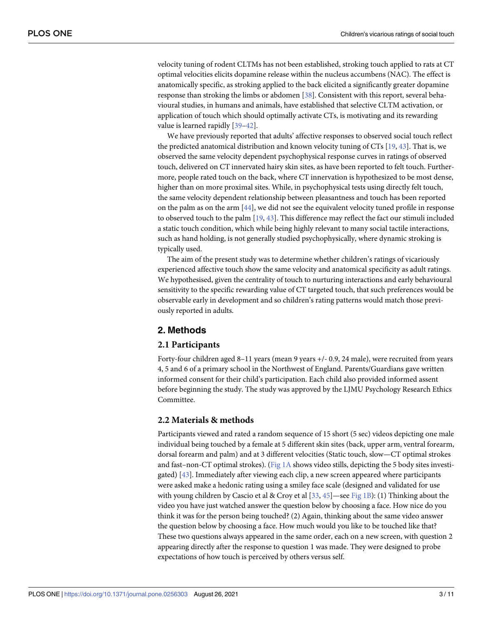<span id="page-3-0"></span>velocity tuning of rodent CLTMs has not been established, stroking touch applied to rats at CT optimal velocities elicits dopamine release within the nucleus accumbens (NAC). The effect is anatomically specific, as stroking applied to the back elicited a significantly greater dopamine response than stroking the limbs or abdomen [\[38\]](#page-10-0). Consistent with this report, several behavioural studies, in humans and animals, have established that selective CLTM activation, or application of touch which should optimally activate CTs, is motivating and its rewarding value is learned rapidly [\[39–](#page-10-0)[42](#page-11-0)].

We have previously reported that adults' affective responses to observed social touch reflect the predicted anatomical distribution and known velocity tuning of CTs [[19](#page-9-0), [43](#page-11-0)]. That is, we observed the same velocity dependent psychophysical response curves in ratings of observed touch, delivered on CT innervated hairy skin sites, as have been reported to felt touch. Furthermore, people rated touch on the back, where CT innervation is hypothesized to be most dense, higher than on more proximal sites. While, in psychophysical tests using directly felt touch, the same velocity dependent relationship between pleasantness and touch has been reported on the palm as on the arm [\[44\]](#page-11-0), we did not see the equivalent velocity tuned profile in response to observed touch to the palm [[19](#page-9-0), [43](#page-11-0)]. This difference may reflect the fact our stimuli included a static touch condition, which while being highly relevant to many social tactile interactions, such as hand holding, is not generally studied psychophysically, where dynamic stroking is typically used.

The aim of the present study was to determine whether children's ratings of vicariously experienced affective touch show the same velocity and anatomical specificity as adult ratings. We hypothesised, given the centrality of touch to nurturing interactions and early behavioural sensitivity to the specific rewarding value of CT targeted touch, that such preferences would be observable early in development and so children's rating patterns would match those previously reported in adults.

## **2. Methods**

#### **2.1 Participants**

Forty-four children aged 8–11 years (mean 9 years +/- 0.9, 24 male), were recruited from years 4, 5 and 6 of a primary school in the Northwest of England. Parents/Guardians gave written informed consent for their child's participation. Each child also provided informed assent before beginning the study. The study was approved by the LJMU Psychology Research Ethics Committee.

#### **2.2 Materials & methods**

Participants viewed and rated a random sequence of 15 short (5 sec) videos depicting one male individual being touched by a female at 5 different skin sites (back, upper arm, ventral forearm, dorsal forearm and palm) and at 3 different velocities (Static touch, slow—CT optimal strokes and fast–non-CT optimal strokes). [\(Fig](#page-4-0) 1A shows video stills, depicting the 5 body sites investigated) [[43](#page-11-0)]. Immediately after viewing each clip, a new screen appeared where participants were asked make a hedonic rating using a smiley face scale (designed and validated for use with young children by Cascio et al & Croy et al  $[33, 45]$  $[33, 45]$  $[33, 45]$  $[33, 45]$ —see [Fig](#page-4-0) 1B): (1) Thinking about the video you have just watched answer the question below by choosing a face. How nice do you think it was for the person being touched? (2) Again, thinking about the same video answer the question below by choosing a face. How much would you like to be touched like that? These two questions always appeared in the same order, each on a new screen, with question 2 appearing directly after the response to question 1 was made. They were designed to probe expectations of how touch is perceived by others versus self.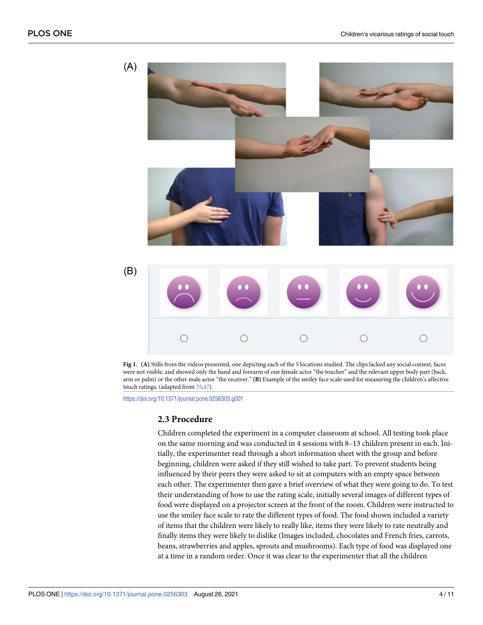<span id="page-4-0"></span>

**[Fig](#page-3-0) 1. (A)** Stills from the videos presented, one depicting each of the 5 locations studied. The clips lacked any social context, faces were not visible, and showed only the hand and forearm of one female actor "the toucher" and the relevant upper body part (back, arm or palm) or the other male actor "the receiver." **(B)** Example of the smiley face scale used for measuring the children's affective touch ratings. (adapted from [35](#page-10-0),[47](#page-11-0)).

<https://doi.org/10.1371/journal.pone.0256303.g001>

#### **2.3 Procedure**

Children completed the experiment in a computer classroom at school. All testing took place on the same morning and was conducted in 4 sessions with 8–13 children present in each. Initially, the experimenter read through a short information sheet with the group and before beginning, children were asked if they still wished to take part. To prevent students being influenced by their peers they were asked to sit at computers with an empty space between each other. The experimenter then gave a brief overview of what they were going to do. To test their understanding of how to use the rating scale, initially several images of different types of food were displayed on a projector screen at the front of the room. Children were instructed to use the smiley face scale to rate the different types of food. The food shown included a variety of items that the children were likely to really like, items they were likely to rate neutrally and finally items they were likely to dislike (Images included, chocolates and French fries, carrots, beans, strawberries and apples, sprouts and mushrooms). Each type of food was displayed one at a time in a random order. Once it was clear to the experimenter that all the children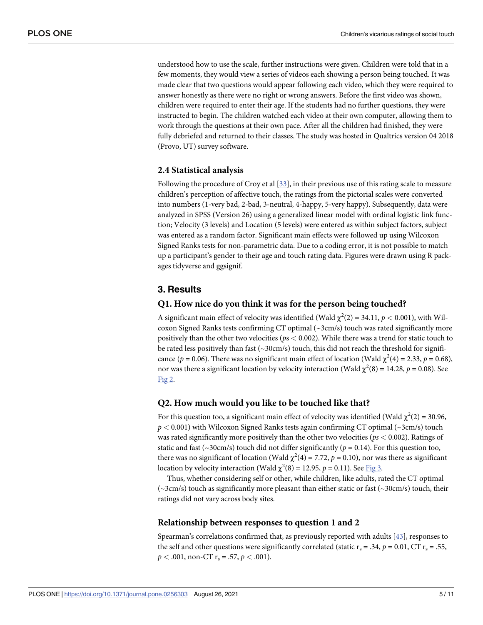<span id="page-5-0"></span>understood how to use the scale, further instructions were given. Children were told that in a few moments, they would view a series of videos each showing a person being touched. It was made clear that two questions would appear following each video, which they were required to answer honestly as there were no right or wrong answers. Before the first video was shown, children were required to enter their age. If the students had no further questions, they were instructed to begin. The children watched each video at their own computer, allowing them to work through the questions at their own pace. After all the children had finished, they were fully debriefed and returned to their classes. The study was hosted in Qualtrics version 04 2018 (Provo, UT) survey software.

#### **2.4 Statistical analysis**

Following the procedure of Croy et al [\[33\]](#page-10-0), in their previous use of this rating scale to measure children's perception of affective touch, the ratings from the pictorial scales were converted into numbers (1-very bad, 2-bad, 3-neutral, 4-happy, 5-very happy). Subsequently, data were analyzed in SPSS (Version 26) using a generalized linear model with ordinal logistic link function; Velocity (3 levels) and Location (5 levels) were entered as within subject factors, subject was entered as a random factor. Significant main effects were followed up using Wilcoxon Signed Ranks tests for non-parametric data. Due to a coding error, it is not possible to match up a participant's gender to their age and touch rating data. Figures were drawn using R packages tidyverse and ggsignif.

#### **3. Results**

#### **Q1. How nice do you think it was for the person being touched?**

A significant main effect of velocity was identified (Wald  $\chi^2(2) = 34.11$ ,  $p < 0.001$ ), with Wilcoxon Signed Ranks tests confirming CT optimal  $(\sim$ 3cm/s) touch was rated significantly more positively than the other two velocities (*p*s *<* 0.002). While there was a trend for static touch to be rated less positively than fast  $(\sim 30 \text{cm/s})$  touch, this did not reach the threshold for significance ( $p = 0.06$ ). There was no significant main effect of location (Wald  $\chi^2(4) = 2.33$ ,  $p = 0.68$ ), nor was there a significant location by velocity interaction (Wald  $\chi^2(8) = 14.28$ ,  $p = 0.08$ ). See [Fig](#page-6-0) 2.

#### **Q2. How much would you like to be touched like that?**

For this question too, a significant main effect of velocity was identified (Wald  $\chi^2(2) = 30.96$ , *p <* 0.001) with Wilcoxon Signed Ranks tests again confirming CT optimal (~3cm/s) touch was rated significantly more positively than the other two velocities (*ps <* 0.002). Ratings of static and fast ( $\sim$ 30cm/s) touch did not differ significantly ( $p = 0.14$ ). For this question too, there was no significant of location (Wald  $\chi^2(4) = 7.72$ ,  $p = 0.10$ ), nor was there as significant location by velocity interaction (Wald  $\chi^2(8) = 12.95$ ,  $p = 0.11$ ). See [Fig](#page-7-0) 3.

Thus, whether considering self or other, while children, like adults, rated the CT optimal  $(\sim$ 3cm/s) touch as significantly more pleasant than either static or fast ( $\sim$ 30cm/s) touch, their ratings did not vary across body sites.

#### **Relationship between responses to question 1 and 2**

Spearman's correlations confirmed that, as previously reported with adults [[43](#page-11-0)], responses to the self and other questions were significantly correlated (static  $r_s = .34$ ,  $p = 0.01$ , CT  $r_s = .55$ ,  $p < .001$ , non-CT  $r_s = .57$ ,  $p < .001$ ).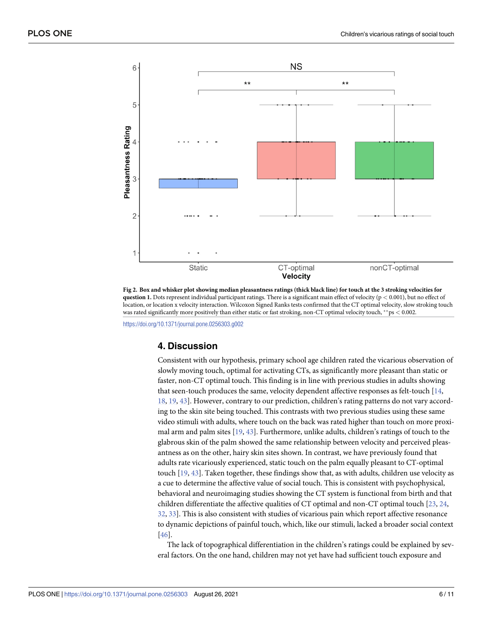<span id="page-6-0"></span>

[Fig](#page-5-0) 2. Box and whisker plot showing median pleasantness ratings (thick black line) for touch at the 3 stroking velocities for **question 1.** Dots represent individual participant ratings. There is a significant main effect of velocity (p *<* 0.001), but no effect of location, or location x velocity interaction. Wilcoxon Signed Ranks tests confirmed that the CT optimal velocity, slow stroking touch was rated significantly more positively than either static or fast stroking, non-CT optimal velocity touch, ��ps *<* 0.002.

<https://doi.org/10.1371/journal.pone.0256303.g002>

#### **4. Discussion**

Consistent with our hypothesis, primary school age children rated the vicarious observation of slowly moving touch, optimal for activating CTs, as significantly more pleasant than static or faster, non-CT optimal touch. This finding is in line with previous studies in adults showing that seen-touch produces the same, velocity dependent affective responses as felt-touch [[14](#page-9-0), [18,](#page-9-0) [19](#page-9-0), [43](#page-11-0)]. However, contrary to our prediction, children's rating patterns do not vary according to the skin site being touched. This contrasts with two previous studies using these same video stimuli with adults, where touch on the back was rated higher than touch on more proximal arm and palm sites [\[19,](#page-9-0) [43\]](#page-11-0). Furthermore, unlike adults, children's ratings of touch to the glabrous skin of the palm showed the same relationship between velocity and perceived pleasantness as on the other, hairy skin sites shown. In contrast, we have previously found that adults rate vicariously experienced, static touch on the palm equally pleasant to CT-optimal touch [\[19,](#page-9-0) [43\]](#page-11-0). Taken together, these findings show that, as with adults, children use velocity as a cue to determine the affective value of social touch. This is consistent with psychophysical, behavioral and neuroimaging studies showing the CT system is functional from birth and that children differentiate the affective qualities of CT optimal and non-CT optimal touch [\[23,](#page-10-0) [24,](#page-10-0) [32,](#page-10-0) [33](#page-10-0)]. This is also consistent with studies of vicarious pain which report affective resonance to dynamic depictions of painful touch, which, like our stimuli, lacked a broader social context [\[46\]](#page-11-0).

The lack of topographical differentiation in the children's ratings could be explained by several factors. On the one hand, children may not yet have had sufficient touch exposure and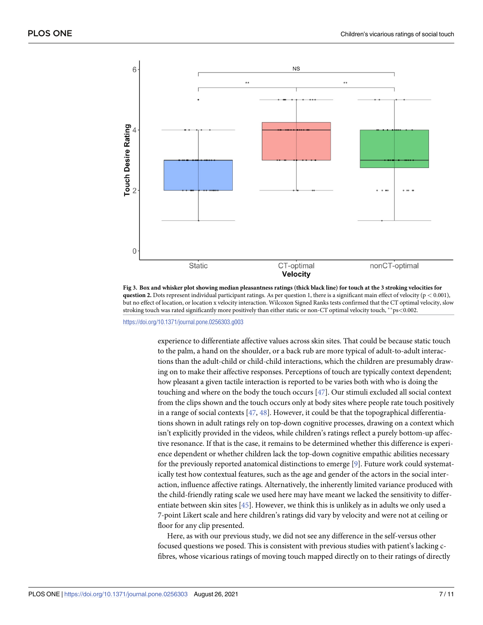<span id="page-7-0"></span>

[Fig](#page-5-0) 3. Box and whisker plot showing median pleasantness ratings (thick black line) for touch at the 3 stroking velocities for **question 2.** Dots represent individual participant ratings. As per question 1, there is a significant main effect of velocity (p *<* 0.001), but no effect of location, or location x velocity interaction. Wilcoxon Signed Ranks tests confirmed that the CT optimal velocity, slow stroking touch was rated significantly more positively than either static or non-CT optimal velocity touch, ��ps*<*0.002.

<https://doi.org/10.1371/journal.pone.0256303.g003>

experience to differentiate affective values across skin sites. That could be because static touch to the palm, a hand on the shoulder, or a back rub are more typical of adult-to-adult interactions than the adult-child or child-child interactions, which the children are presumably drawing on to make their affective responses. Perceptions of touch are typically context dependent; how pleasant a given tactile interaction is reported to be varies both with who is doing the touching and where on the body the touch occurs [[47](#page-11-0)]. Our stimuli excluded all social context from the clips shown and the touch occurs only at body sites where people rate touch positively in a range of social contexts [\[47,](#page-11-0) [48\]](#page-11-0). However, it could be that the topographical differentiations shown in adult ratings rely on top-down cognitive processes, drawing on a context which isn't explicitly provided in the videos, while children's ratings reflect a purely bottom-up affective resonance. If that is the case, it remains to be determined whether this difference is experience dependent or whether children lack the top-down cognitive empathic abilities necessary for the previously reported anatomical distinctions to emerge  $[9]$ . Future work could systematically test how contextual features, such as the age and gender of the actors in the social interaction, influence affective ratings. Alternatively, the inherently limited variance produced with the child-friendly rating scale we used here may have meant we lacked the sensitivity to differentiate between skin sites [\[45\]](#page-11-0). However, we think this is unlikely as in adults we only used a 7-point Likert scale and here children's ratings did vary by velocity and were not at ceiling or floor for any clip presented.

Here, as with our previous study, we did not see any difference in the self-versus other focused questions we posed. This is consistent with previous studies with patient's lacking cfibres, whose vicarious ratings of moving touch mapped directly on to their ratings of directly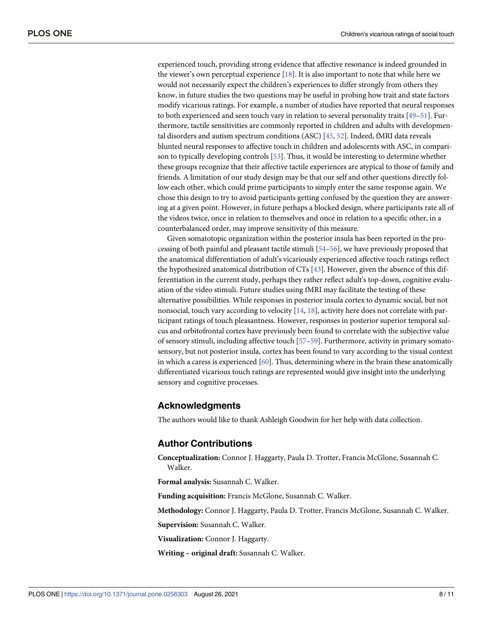<span id="page-8-0"></span>experienced touch, providing strong evidence that affective resonance is indeed grounded in the viewer's own perceptual experience [\[18](#page-9-0)]. It is also important to note that while here we would not necessarily expect the children's experiences to differ strongly from others they know, in future studies the two questions may be useful in probing how trait and state factors modify vicarious ratings. For example, a number of studies have reported that neural responses to both experienced and seen touch vary in relation to several personality traits [\[49–51](#page-11-0)]. Furthermore, tactile sensitivities are commonly reported in children and adults with developmental disorders and autism spectrum conditions (ASC) [[45](#page-11-0), [52](#page-11-0)]. Indeed, fMRI data reveals blunted neural responses to affective touch in children and adolescents with ASC, in comparison to typically developing controls [\[53\]](#page-11-0). Thus, it would be interesting to determine whether these groups recognize that their affective tactile experiences are atypical to those of family and friends. A limitation of our study design may be that our self and other questions directly follow each other, which could prime participants to simply enter the same response again. We chose this design to try to avoid participants getting confused by the question they are answering at a given point. However, in future perhaps a blocked design, where participants rate all of the videos twice, once in relation to themselves and once in relation to a specific other, in a counterbalanced order, may improve sensitivity of this measure.

Given somatotopic organization within the posterior insula has been reported in the processing of both painful and pleasant tactile stimuli [[54–56\]](#page-11-0), we have previously proposed that the anatomical differentiation of adult's vicariously experienced affective touch ratings reflect the hypothesized anatomical distribution of CTs [\[43\]](#page-11-0). However, given the absence of this differentiation in the current study, perhaps they rather reflect adult's top-down, cognitive evaluation of the video stimuli. Future studies using fMRI may facilitate the testing of these alternative possibilities. While responses in posterior insula cortex to dynamic social, but not nonsocial, touch vary according to velocity [[14](#page-9-0), [18](#page-9-0)], activity here does not correlate with participant ratings of touch pleasantness. However, responses in posterior superior temporal sulcus and orbitofrontal cortex have previously been found to correlate with the subjective value of sensory stimuli, including affective touch [[57](#page-11-0)–[59](#page-11-0)]. Furthermore, activity in primary somatosensory, but not posterior insula, cortex has been found to vary according to the visual context in which a caress is experienced [[60](#page-11-0)]. Thus, determining where in the brain these anatomically differentiated vicarious touch ratings are represented would give insight into the underlying sensory and cognitive processes.

#### **Acknowledgments**

The authors would like to thank Ashleigh Goodwin for her help with data collection.

## **Author Contributions**

**Conceptualization:** Connor J. Haggarty, Paula D. Trotter, Francis McGlone, Susannah C. Walker.

**Formal analysis:** Susannah C. Walker.

**Funding acquisition:** Francis McGlone, Susannah C. Walker.

**Methodology:** Connor J. Haggarty, Paula D. Trotter, Francis McGlone, Susannah C. Walker.

**Supervision:** Susannah C. Walker.

**Visualization:** Connor J. Haggarty.

**Writing – original draft:** Susannah C. Walker.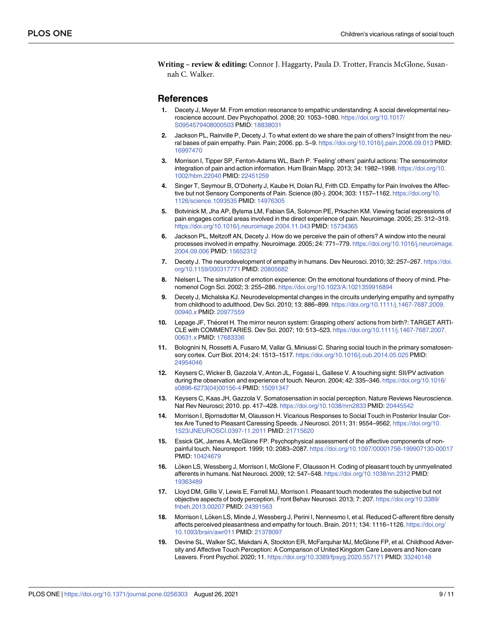<span id="page-9-0"></span>**Writing – review & editing:** Connor J. Haggarty, Paula D. Trotter, Francis McGlone, Susannah C. Walker.

#### **References**

- **[1](#page-1-0).** Decety J, Meyer M. From emotion resonance to empathic understanding: A social developmental neuroscience account. Dev Psychopathol. 2008; 20: 1053–1080. [https://doi.org/10.1017/](https://doi.org/10.1017/S0954579408000503) [S0954579408000503](https://doi.org/10.1017/S0954579408000503) PMID: [18838031](http://www.ncbi.nlm.nih.gov/pubmed/18838031)
- **[2](#page-1-0).** Jackson PL, Rainville P, Decety J. To what extent do we share the pain of others? Insight from the neural bases of pain empathy. Pain. Pain; 2006. pp. 5–9. <https://doi.org/10.1016/j.pain.2006.09.013> PMID: [16997470](http://www.ncbi.nlm.nih.gov/pubmed/16997470)
- **3.** Morrison I, Tipper SP, Fenton-Adams WL, Bach P. 'Feeling' others' painful actions: The sensorimotor integration of pain and action information. Hum Brain Mapp. 2013; 34: 1982–1998. [https://doi.org/10.](https://doi.org/10.1002/hbm.22040) [1002/hbm.22040](https://doi.org/10.1002/hbm.22040) PMID: [22451259](http://www.ncbi.nlm.nih.gov/pubmed/22451259)
- **[4](#page-1-0).** Singer T, Seymour B, O'Doherty J, Kaube H, Dolan RJ, Frith CD. Empathy for Pain Involves the Affective but not Sensory Components of Pain. Science (80-). 2004; 303: 1157–1162. [https://doi.org/10.](https://doi.org/10.1126/science.1093535) [1126/science.1093535](https://doi.org/10.1126/science.1093535) PMID: [14976305](http://www.ncbi.nlm.nih.gov/pubmed/14976305)
- **5.** Botvinick M, Jha AP, Bylsma LM, Fabian SA, Solomon PE, Prkachin KM. Viewing facial expressions of pain engages cortical areas involved in the direct experience of pain. Neuroimage. 2005; 25: 312–319. <https://doi.org/10.1016/j.neuroimage.2004.11.043> PMID: [15734365](http://www.ncbi.nlm.nih.gov/pubmed/15734365)
- **[6](#page-1-0).** Jackson PL, Meltzoff AN, Decety J. How do we perceive the pain of others? A window into the neural processes involved in empathy. Neuroimage. 2005; 24: 771–779. [https://doi.org/10.1016/j.neuroimage.](https://doi.org/10.1016/j.neuroimage.2004.09.006) [2004.09.006](https://doi.org/10.1016/j.neuroimage.2004.09.006) PMID: [15652312](http://www.ncbi.nlm.nih.gov/pubmed/15652312)
- **[7](#page-2-0).** Decety J. The neurodevelopment of empathy in humans. Dev Neurosci. 2010; 32: 257–267. [https://doi.](https://doi.org/10.1159/000317771) [org/10.1159/000317771](https://doi.org/10.1159/000317771) PMID: [20805682](http://www.ncbi.nlm.nih.gov/pubmed/20805682)
- **[8](#page-2-0).** Nielsen L. The simulation of emotion experience: On the emotional foundations of theory of mind. Phenomenol Cogn Sci. 2002; 3: 255–286. [https://doi.org/10.1023/A:1021359916894](https://doi.org/10.1023/A%3A1021359916894)
- **[9](#page-2-0).** Decety J, Michalska KJ. Neurodevelopmental changes in the circuits underlying empathy and sympathy from childhood to adulthood. Dev Sci. 2010; 13: 886–899. [https://doi.org/10.1111/j.1467-7687.2009.](https://doi.org/10.1111/j.1467-7687.2009.00940.x) [00940.x](https://doi.org/10.1111/j.1467-7687.2009.00940.x) PMID: [20977559](http://www.ncbi.nlm.nih.gov/pubmed/20977559)
- **[10](#page-2-0).** Lepage JF, Théoret H. The mirror neuron system: Grasping others' actions from birth?: TARGET ARTI-CLE with COMMENTARIES. Dev Sci. 2007; 10: 513–523. [https://doi.org/10.1111/j.1467-7687.2007.](https://doi.org/10.1111/j.1467-7687.2007.00631.x) [00631.x](https://doi.org/10.1111/j.1467-7687.2007.00631.x) PMID: [17683336](http://www.ncbi.nlm.nih.gov/pubmed/17683336)
- **[11](#page-2-0).** Bolognini N, Rossetti A, Fusaro M, Vallar G, Miniussi C. Sharing social touch in the primary somatosensory cortex. Curr Biol. 2014; 24: 1513–1517. <https://doi.org/10.1016/j.cub.2014.05.025> PMID: [24954046](http://www.ncbi.nlm.nih.gov/pubmed/24954046)
- **12.** Keysers C, Wicker B, Gazzola V, Anton JL, Fogassi L, Gallese V. A touching sight: SII/PV activation during the observation and experience of touch. Neuron. 2004; 42: 335–346. [https://doi.org/10.1016/](https://doi.org/10.1016/s0896-6273%2804%2900156-4) [s0896-6273\(04\)00156-4](https://doi.org/10.1016/s0896-6273%2804%2900156-4) PMID: [15091347](http://www.ncbi.nlm.nih.gov/pubmed/15091347)
- **13.** Keysers C, Kaas JH, Gazzola V. Somatosensation in social perception. Nature Reviews Neuroscience. Nat Rev Neurosci; 2010. pp. 417–428. <https://doi.org/10.1038/nrn2833> PMID: [20445542](http://www.ncbi.nlm.nih.gov/pubmed/20445542)
- **[14](#page-2-0).** Morrison I, Bjornsdotter M, Olausson H. Vicarious Responses to Social Touch in Posterior Insular Cortex Are Tuned to Pleasant Caressing Speeds. J Neurosci. 2011; 31: 9554–9562. [https://doi.org/10.](https://doi.org/10.1523/JNEUROSCI.0397-11.2011) [1523/JNEUROSCI.0397-11.2011](https://doi.org/10.1523/JNEUROSCI.0397-11.2011) PMID: [21715620](http://www.ncbi.nlm.nih.gov/pubmed/21715620)
- **[15](#page-2-0).** Essick GK, James A, McGlone FP. Psychophysical assessment of the affective components of nonpainful touch. Neuroreport. 1999; 10: 2083–2087. <https://doi.org/10.1097/00001756-199907130-00017> PMID: [10424679](http://www.ncbi.nlm.nih.gov/pubmed/10424679)
- **[16](#page-2-0).** Löken LS, Wessberg J, Morrison I, McGlone F, Olausson H. Coding of pleasant touch by unmyelinated afferents in humans. Nat Neurosci. 2009; 12: 547–548. <https://doi.org/10.1038/nn.2312> PMID: [19363489](http://www.ncbi.nlm.nih.gov/pubmed/19363489)
- **[17](#page-2-0).** Lloyd DM, Gillis V, Lewis E, Farrell MJ, Morrison I. Pleasant touch moderates the subjective but not objective aspects of body perception. Front Behav Neurosci. 2013; 7: 207. [https://doi.org/10.3389/](https://doi.org/10.3389/fnbeh.2013.00207) [fnbeh.2013.00207](https://doi.org/10.3389/fnbeh.2013.00207) PMID: [24391563](http://www.ncbi.nlm.nih.gov/pubmed/24391563)
- [18](#page-2-0). Morrison I, Löken LS, Minde J, Wessberg J, Perini I, Nennesmo I, et al. Reduced C-afferent fibre density affects perceived pleasantness and empathy for touch. Brain. 2011; 134: 1116–1126. [https://doi.org/](https://doi.org/10.1093/brain/awr011) [10.1093/brain/awr011](https://doi.org/10.1093/brain/awr011) PMID: [21378097](http://www.ncbi.nlm.nih.gov/pubmed/21378097)
- **[19](#page-2-0).** Devine SL, Walker SC, Makdani A, Stockton ER, McFarquhar MJ, McGlone FP, et al. Childhood Adversity and Affective Touch Perception: A Comparison of United Kingdom Care Leavers and Non-care Leavers. Front Psychol. 2020; 11. <https://doi.org/10.3389/fpsyg.2020.557171> PMID: [33240148](http://www.ncbi.nlm.nih.gov/pubmed/33240148)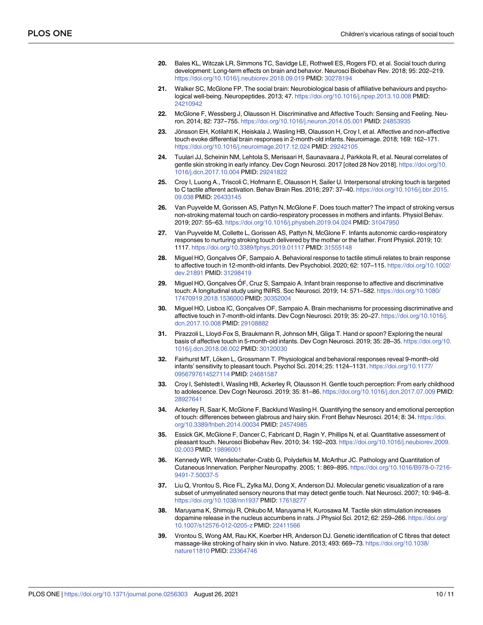- <span id="page-10-0"></span>**[20](#page-2-0).** Bales KL, Witczak LR, Simmons TC, Savidge LE, Rothwell ES, Rogers FD, et al. Social touch during development: Long-term effects on brain and behavior. Neurosci Biobehav Rev. 2018; 95: 202–219. <https://doi.org/10.1016/j.neubiorev.2018.09.019> PMID: [30278194](http://www.ncbi.nlm.nih.gov/pubmed/30278194)
- **21.** Walker SC, McGlone FP. The social brain: Neurobiological basis of affiliative behaviours and psychological well-being. Neuropeptides. 2013; 47. <https://doi.org/10.1016/j.npep.2013.10.008> PMID: [24210942](http://www.ncbi.nlm.nih.gov/pubmed/24210942)
- **[22](#page-2-0).** McGlone F, Wessberg J, Olausson H. Discriminative and Affective Touch: Sensing and Feeling. Neuron. 2014; 82: 737–755. <https://doi.org/10.1016/j.neuron.2014.05.001> PMID: [24853935](http://www.ncbi.nlm.nih.gov/pubmed/24853935)
- **[23](#page-2-0).** Jönsson EH, Kotilahti K, Heiskala J, Wasling HB, Olausson H, Croy I, et al. Affective and non-affective touch evoke differential brain responses in 2-month-old infants. Neuroimage. 2018; 169: 162–171. <https://doi.org/10.1016/j.neuroimage.2017.12.024> PMID: [29242105](http://www.ncbi.nlm.nih.gov/pubmed/29242105)
- **[24](#page-2-0).** Tuulari JJ, Scheinin NM, Lehtola S, Merisaari H, Saunavaara J, Parkkola R, et al. Neural correlates of gentle skin stroking in early infancy. Dev Cogn Neurosci. 2017 [cited 28 Nov 2018]. [https://doi.org/10.](https://doi.org/10.1016/j.dcn.2017.10.004) [1016/j.dcn.2017.10.004](https://doi.org/10.1016/j.dcn.2017.10.004) PMID: [29241822](http://www.ncbi.nlm.nih.gov/pubmed/29241822)
- **[25](#page-2-0).** Croy I, Luong A., Triscoli C, Hofmann E, Olausson H, Sailer U. Interpersonal stroking touch is targeted to C tactile afferent activation. Behav Brain Res. 2016; 297: 37–40. [https://doi.org/10.1016/j.bbr.2015.](https://doi.org/10.1016/j.bbr.2015.09.038) [09.038](https://doi.org/10.1016/j.bbr.2015.09.038) PMID: [26433145](http://www.ncbi.nlm.nih.gov/pubmed/26433145)
- **26.** Van Puyvelde M, Gorissen AS, Pattyn N, McGlone F. Does touch matter? The impact of stroking versus non-stroking maternal touch on cardio-respiratory processes in mothers and infants. Physiol Behav. 2019; 207: 55–63. <https://doi.org/10.1016/j.physbeh.2019.04.024> PMID: [31047950](http://www.ncbi.nlm.nih.gov/pubmed/31047950)
- **[27](#page-2-0).** Van Puyvelde M, Collette L, Gorissen AS, Pattyn N, McGlone F. Infants autonomic cardio-respiratory responses to nurturing stroking touch delivered by the mother or the father. Front Physiol. 2019; 10: 1117. <https://doi.org/10.3389/fphys.2019.01117> PMID: [31555148](http://www.ncbi.nlm.nih.gov/pubmed/31555148)
- **[28](#page-2-0).** Miguel HO, Gonçalves OF, Sampaio A. Behavioral response to tactile stimuli relates to brain response to affective touch in 12-month-old infants. Dev Psychobiol. 2020; 62: 107-115. [https://doi.org/10.1002/](https://doi.org/10.1002/dev.21891) [dev.21891](https://doi.org/10.1002/dev.21891) PMID: [31298419](http://www.ncbi.nlm.nih.gov/pubmed/31298419)
- **29.** Miguel HO, Gonçalves ÓF, Cruz S, Sampaio A. Infant brain response to affective and discriminative touch: A longitudinal study using fNIRS. Soc Neurosci. 2019; 14: 571–582. [https://doi.org/10.1080/](https://doi.org/10.1080/17470919.2018.1536000) [17470919.2018.1536000](https://doi.org/10.1080/17470919.2018.1536000) PMID: [30352004](http://www.ncbi.nlm.nih.gov/pubmed/30352004)
- **30.** Miguel HO, Lisboa IC, Gonçalves OF, Sampaio A. Brain mechanisms for processing discriminative and affective touch in 7-month-old infants. Dev Cogn Neurosci. 2019; 35: 20–27. [https://doi.org/10.1016/j.](https://doi.org/10.1016/j.dcn.2017.10.008) [dcn.2017.10.008](https://doi.org/10.1016/j.dcn.2017.10.008) PMID: [29108882](http://www.ncbi.nlm.nih.gov/pubmed/29108882)
- **[31](#page-2-0).** Pirazzoli L, Lloyd-Fox S, Braukmann R, Johnson MH, Gliga T. Hand or spoon? Exploring the neural basis of affective touch in 5-month-old infants. Dev Cogn Neurosci. 2019; 35: 28–35. [https://doi.org/10.](https://doi.org/10.1016/j.dcn.2018.06.002) [1016/j.dcn.2018.06.002](https://doi.org/10.1016/j.dcn.2018.06.002) PMID: [30120030](http://www.ncbi.nlm.nih.gov/pubmed/30120030)
- **[32](#page-2-0).** Fairhurst MT, Löken L, Grossmann T. Physiological and behavioral responses reveal 9-month-old infants' sensitivity to pleasant touch. Psychol Sci. 2014; 25: 1124–1131. [https://doi.org/10.1177/](https://doi.org/10.1177/0956797614527114) [0956797614527114](https://doi.org/10.1177/0956797614527114) PMID: [24681587](http://www.ncbi.nlm.nih.gov/pubmed/24681587)
- **[33](#page-2-0).** Croy I, Sehlstedt I, Wasling HB, Ackerley R, Olausson H. Gentle touch perception: From early childhood to adolescence. Dev Cogn Neurosci. 2019; 35: 81–86. <https://doi.org/10.1016/j.dcn.2017.07.009> PMID: [28927641](http://www.ncbi.nlm.nih.gov/pubmed/28927641)
- **[34](#page-2-0).** Ackerley R, Saar K, McGlone F, Backlund Wasling H. Quantifying the sensory and emotional perception of touch: differences between glabrous and hairy skin. Front Behav Neurosci. 2014; 8: 34. [https://doi.](https://doi.org/10.3389/fnbeh.2014.00034) [org/10.3389/fnbeh.2014.00034](https://doi.org/10.3389/fnbeh.2014.00034) PMID: [24574985](http://www.ncbi.nlm.nih.gov/pubmed/24574985)
- **[35](#page-2-0).** Essick GK, McGlone F, Dancer C, Fabricant D, Ragin Y, Phillips N, et al. Quantitative assessment of pleasant touch. Neurosci Biobehav Rev. 2010; 34: 192–203. [https://doi.org/10.1016/j.neubiorev.2009.](https://doi.org/10.1016/j.neubiorev.2009.02.003) [02.003](https://doi.org/10.1016/j.neubiorev.2009.02.003) PMID: [19896001](http://www.ncbi.nlm.nih.gov/pubmed/19896001)
- **[36](#page-2-0).** Kennedy WR, Wendelschafer-Crabb G, Polydefkis M, McArthur JC. Pathology and Quantitation of Cutaneous Innervation. Peripher Neuropathy. 2005; 1: 869–895. [https://doi.org/10.1016/B978-0-7216-](https://doi.org/10.1016/B978-0-7216-9491-7.50037-5) [9491-7.50037-5](https://doi.org/10.1016/B978-0-7216-9491-7.50037-5)
- **[37](#page-2-0).** Liu Q, Vrontou S, Rice FL, Zylka MJ, Dong X, Anderson DJ. Molecular genetic visualization of a rare subset of unmyelinated sensory neurons that may detect gentle touch. Nat Neurosci. 2007; 10: 946–8. <https://doi.org/10.1038/nn1937> PMID: [17618277](http://www.ncbi.nlm.nih.gov/pubmed/17618277)
- **[38](#page-3-0).** Maruyama K, Shimoju R, Ohkubo M, Maruyama H, Kurosawa M. Tactile skin stimulation increases dopamine release in the nucleus accumbens in rats. J Physiol Sci. 2012; 62: 259–266. [https://doi.org/](https://doi.org/10.1007/s12576-012-0205-z) [10.1007/s12576-012-0205-z](https://doi.org/10.1007/s12576-012-0205-z) PMID: [22411566](http://www.ncbi.nlm.nih.gov/pubmed/22411566)
- **[39](#page-3-0).** Vrontou S, Wong AM, Rau KK, Koerber HR, Anderson DJ. Genetic identification of C fibres that detect massage-like stroking of hairy skin in vivo. Nature. 2013; 493: 669–73. [https://doi.org/10.1038/](https://doi.org/10.1038/nature11810) [nature11810](https://doi.org/10.1038/nature11810) PMID: [23364746](http://www.ncbi.nlm.nih.gov/pubmed/23364746)